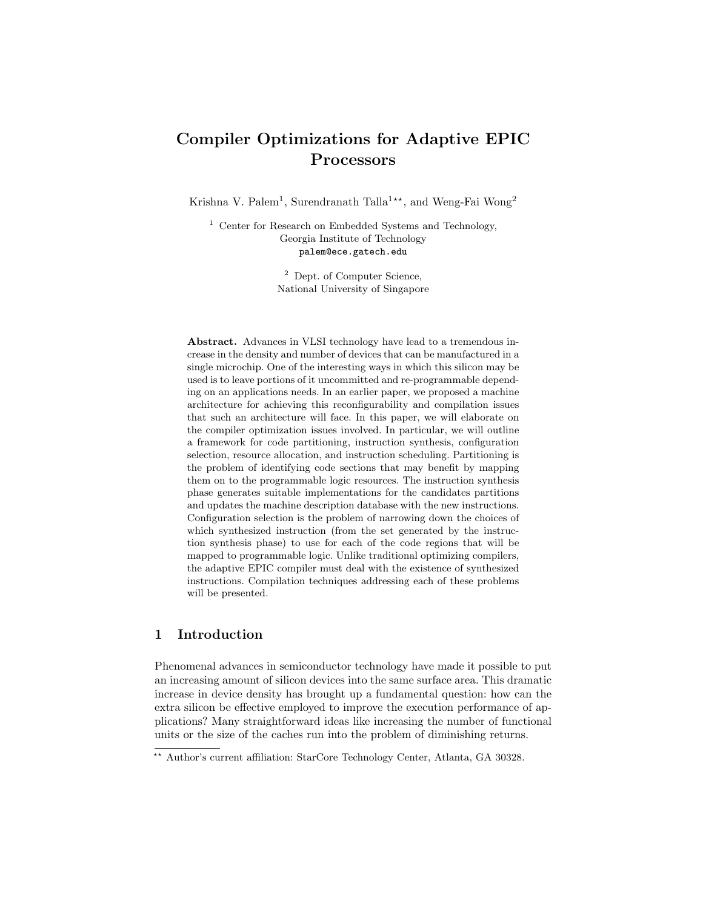# Compiler Optimizations for Adaptive EPIC Processors

Krishna V. Palem<sup>1</sup>, Surendranath Talla<sup>1\*\*</sup>, and Weng-Fai Wong<sup>2</sup>

 $^{\rm 1}$  Center for Research on Embedded Systems and Technology, Georgia Institute of Technology palem@ece.gatech.edu

> <sup>2</sup> Dept. of Computer Science, National University of Singapore

Abstract. Advances in VLSI technology have lead to a tremendous increase in the density and number of devices that can be manufactured in a single microchip. One of the interesting ways in which this silicon may be used is to leave portions of it uncommitted and re-programmable depending on an applications needs. In an earlier paper, we proposed a machine architecture for achieving this reconfigurability and compilation issues that such an architecture will face. In this paper, we will elaborate on the compiler optimization issues involved. In particular, we will outline a framework for code partitioning, instruction synthesis, configuration selection, resource allocation, and instruction scheduling. Partitioning is the problem of identifying code sections that may benefit by mapping them on to the programmable logic resources. The instruction synthesis phase generates suitable implementations for the candidates partitions and updates the machine description database with the new instructions. Configuration selection is the problem of narrowing down the choices of which synthesized instruction (from the set generated by the instruction synthesis phase) to use for each of the code regions that will be mapped to programmable logic. Unlike traditional optimizing compilers, the adaptive EPIC compiler must deal with the existence of synthesized instructions. Compilation techniques addressing each of these problems will be presented.

# 1 Introduction

Phenomenal advances in semiconductor technology have made it possible to put an increasing amount of silicon devices into the same surface area. This dramatic increase in device density has brought up a fundamental question: how can the extra silicon be effective employed to improve the execution performance of applications? Many straightforward ideas like increasing the number of functional units or the size of the caches run into the problem of diminishing returns.

<sup>??</sup> Author's current affiliation: StarCore Technology Center, Atlanta, GA 30328.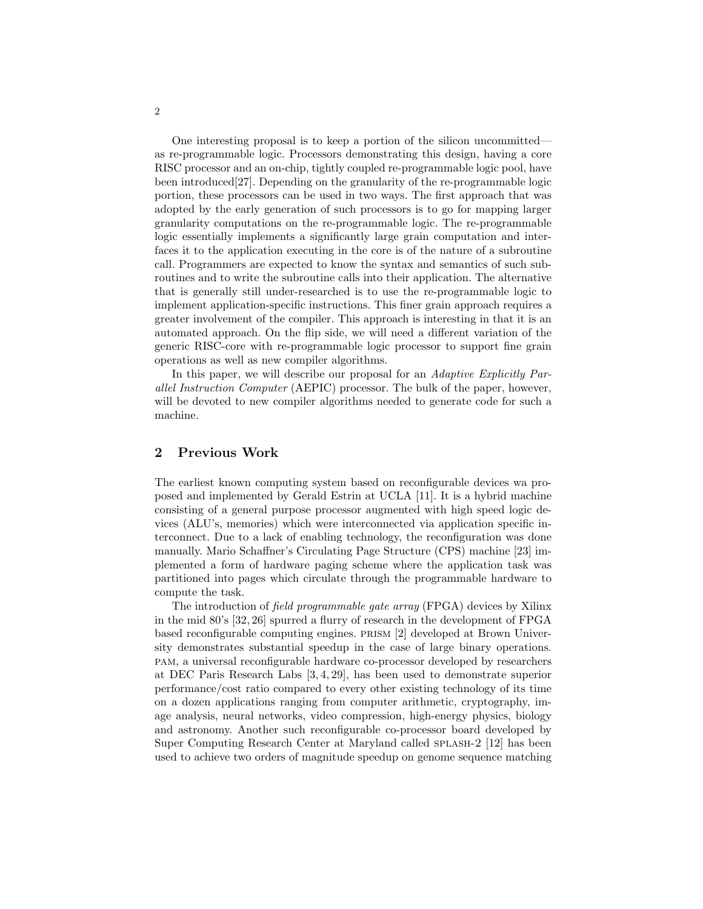One interesting proposal is to keep a portion of the silicon uncommitted as re-programmable logic. Processors demonstrating this design, having a core RISC processor and an on-chip, tightly coupled re-programmable logic pool, have been introduced[27]. Depending on the granularity of the re-programmable logic portion, these processors can be used in two ways. The first approach that was adopted by the early generation of such processors is to go for mapping larger granularity computations on the re-programmable logic. The re-programmable logic essentially implements a significantly large grain computation and interfaces it to the application executing in the core is of the nature of a subroutine call. Programmers are expected to know the syntax and semantics of such subroutines and to write the subroutine calls into their application. The alternative that is generally still under-researched is to use the re-programmable logic to implement application-specific instructions. This finer grain approach requires a greater involvement of the compiler. This approach is interesting in that it is an automated approach. On the flip side, we will need a different variation of the generic RISC-core with re-programmable logic processor to support fine grain operations as well as new compiler algorithms.

In this paper, we will describe our proposal for an Adaptive Explicitly Parallel Instruction Computer (AEPIC) processor. The bulk of the paper, however, will be devoted to new compiler algorithms needed to generate code for such a machine.

# 2 Previous Work

The earliest known computing system based on reconfigurable devices wa proposed and implemented by Gerald Estrin at UCLA [11]. It is a hybrid machine consisting of a general purpose processor augmented with high speed logic devices (ALU's, memories) which were interconnected via application specific interconnect. Due to a lack of enabling technology, the reconfiguration was done manually. Mario Schaffner's Circulating Page Structure (CPS) machine [23] implemented a form of hardware paging scheme where the application task was partitioned into pages which circulate through the programmable hardware to compute the task.

The introduction of field programmable gate array (FPGA) devices by Xilinx in the mid 80's [32, 26] spurred a flurry of research in the development of FPGA based reconfigurable computing engines. prism [2] developed at Brown University demonstrates substantial speedup in the case of large binary operations. pam, a universal reconfigurable hardware co-processor developed by researchers at DEC Paris Research Labs [3, 4, 29], has been used to demonstrate superior performance/cost ratio compared to every other existing technology of its time on a dozen applications ranging from computer arithmetic, cryptography, image analysis, neural networks, video compression, high-energy physics, biology and astronomy. Another such reconfigurable co-processor board developed by Super Computing Research Center at Maryland called splash-2 [12] has been used to achieve two orders of magnitude speedup on genome sequence matching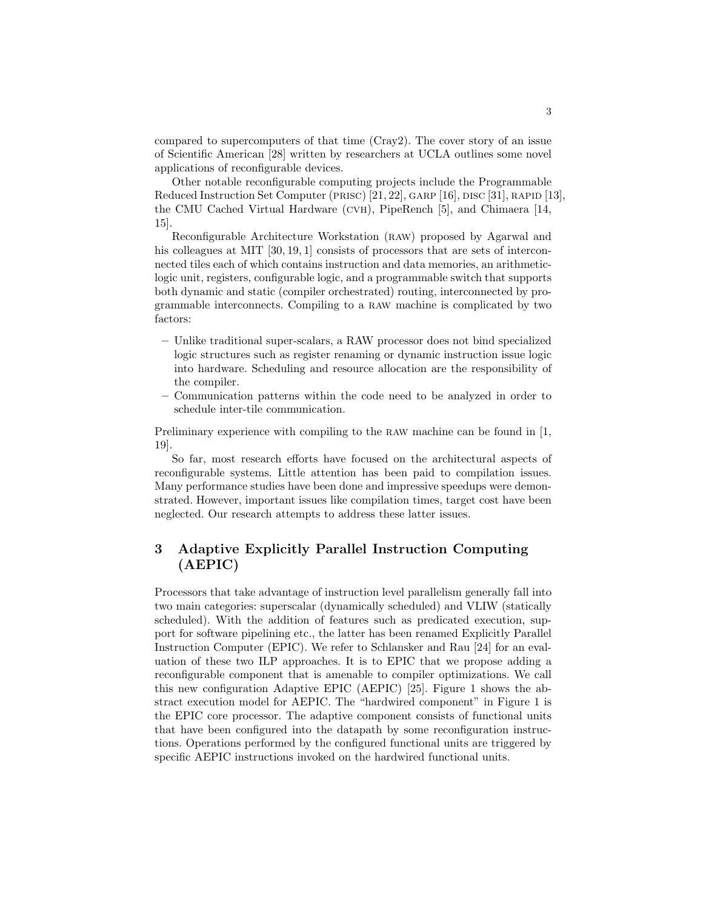compared to supercomputers of that time (Cray2). The cover story of an issue of Scientific American [28] written by researchers at UCLA outlines some novel applications of reconfigurable devices.

Other notable reconfigurable computing projects include the Programmable Reduced Instruction Set Computer (PRISC) [21, 22], GARP [16], DISC [31], RAPID [13], the CMU Cached Virtual Hardware (cvh), PipeRench [5], and Chimaera [14, 15].

Reconfigurable Architecture Workstation (RAW) proposed by Agarwal and his colleagues at MIT [30, 19, 1] consists of processors that are sets of interconnected tiles each of which contains instruction and data memories, an arithmeticlogic unit, registers, configurable logic, and a programmable switch that supports both dynamic and static (compiler orchestrated) routing, interconnected by programmable interconnects. Compiling to a raw machine is complicated by two factors:

- Unlike traditional super-scalars, a RAW processor does not bind specialized logic structures such as register renaming or dynamic instruction issue logic into hardware. Scheduling and resource allocation are the responsibility of the compiler.
- Communication patterns within the code need to be analyzed in order to schedule inter-tile communication.

Preliminary experience with compiling to the raw machine can be found in [1, 19].

So far, most research efforts have focused on the architectural aspects of reconfigurable systems. Little attention has been paid to compilation issues. Many performance studies have been done and impressive speedups were demonstrated. However, important issues like compilation times, target cost have been neglected. Our research attempts to address these latter issues.

# 3 Adaptive Explicitly Parallel Instruction Computing (AEPIC)

Processors that take advantage of instruction level parallelism generally fall into two main categories: superscalar (dynamically scheduled) and VLIW (statically scheduled). With the addition of features such as predicated execution, support for software pipelining etc., the latter has been renamed Explicitly Parallel Instruction Computer (EPIC). We refer to Schlansker and Rau [24] for an evaluation of these two ILP approaches. It is to EPIC that we propose adding a reconfigurable component that is amenable to compiler optimizations. We call this new configuration Adaptive EPIC (AEPIC) [25]. Figure 1 shows the abstract execution model for AEPIC. The "hardwired component" in Figure 1 is the EPIC core processor. The adaptive component consists of functional units that have been configured into the datapath by some reconfiguration instructions. Operations performed by the configured functional units are triggered by specific AEPIC instructions invoked on the hardwired functional units.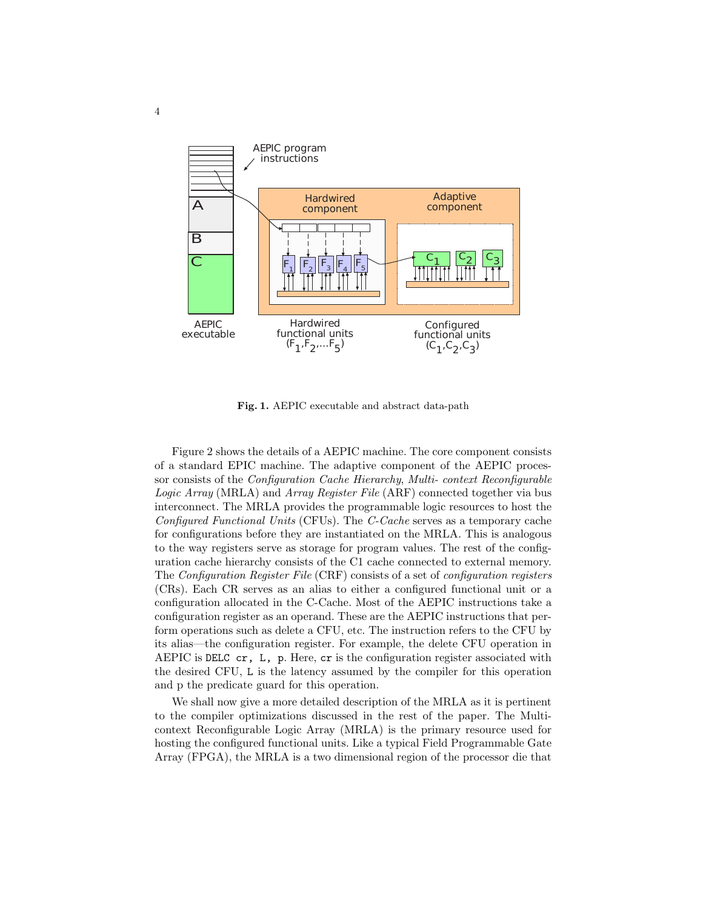

Fig. 1. AEPIC executable and abstract data-path

Figure 2 shows the details of a AEPIC machine. The core component consists of a standard EPIC machine. The adaptive component of the AEPIC processor consists of the Configuration Cache Hierarchy, Multi- context Reconfigurable Logic Array (MRLA) and Array Register File (ARF) connected together via bus interconnect. The MRLA provides the programmable logic resources to host the Configured Functional Units (CFUs). The C-Cache serves as a temporary cache for configurations before they are instantiated on the MRLA. This is analogous to the way registers serve as storage for program values. The rest of the configuration cache hierarchy consists of the C1 cache connected to external memory. The Configuration Register File (CRF) consists of a set of configuration registers (CRs). Each CR serves as an alias to either a configured functional unit or a configuration allocated in the C-Cache. Most of the AEPIC instructions take a configuration register as an operand. These are the AEPIC instructions that perform operations such as delete a CFU, etc. The instruction refers to the CFU by its alias—the configuration register. For example, the delete CFU operation in AEPIC is DELC cr, L, p. Here, cr is the configuration register associated with the desired CFU, L is the latency assumed by the compiler for this operation and p the predicate guard for this operation.

We shall now give a more detailed description of the MRLA as it is pertinent to the compiler optimizations discussed in the rest of the paper. The Multicontext Reconfigurable Logic Array (MRLA) is the primary resource used for hosting the configured functional units. Like a typical Field Programmable Gate Array (FPGA), the MRLA is a two dimensional region of the processor die that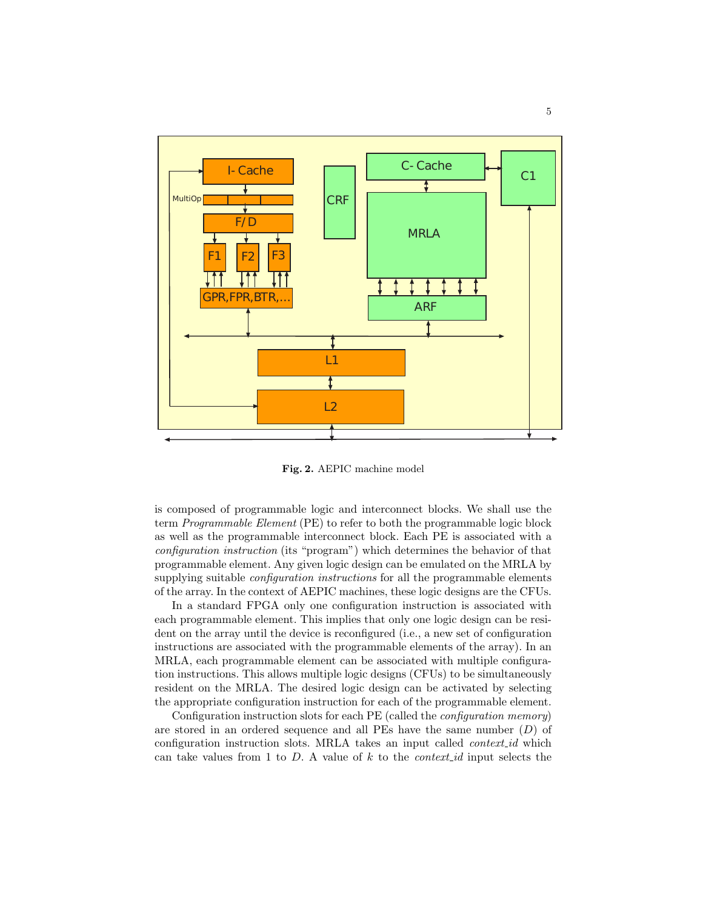

Fig. 2. AEPIC machine model

is composed of programmable logic and interconnect blocks. We shall use the term Programmable Element (PE) to refer to both the programmable logic block as well as the programmable interconnect block. Each PE is associated with a configuration instruction (its "program") which determines the behavior of that programmable element. Any given logic design can be emulated on the MRLA by supplying suitable *configuration instructions* for all the programmable elements of the array. In the context of AEPIC machines, these logic designs are the CFUs.

In a standard FPGA only one configuration instruction is associated with each programmable element. This implies that only one logic design can be resident on the array until the device is reconfigured (i.e., a new set of configuration instructions are associated with the programmable elements of the array). In an MRLA, each programmable element can be associated with multiple configuration instructions. This allows multiple logic designs (CFUs) to be simultaneously resident on the MRLA. The desired logic design can be activated by selecting the appropriate configuration instruction for each of the programmable element.

Configuration instruction slots for each PE (called the configuration memory) are stored in an ordered sequence and all PEs have the same number  $(D)$  of configuration instruction slots. MRLA takes an input called *context id* which can take values from 1 to  $D$ . A value of  $k$  to the *context id* input selects the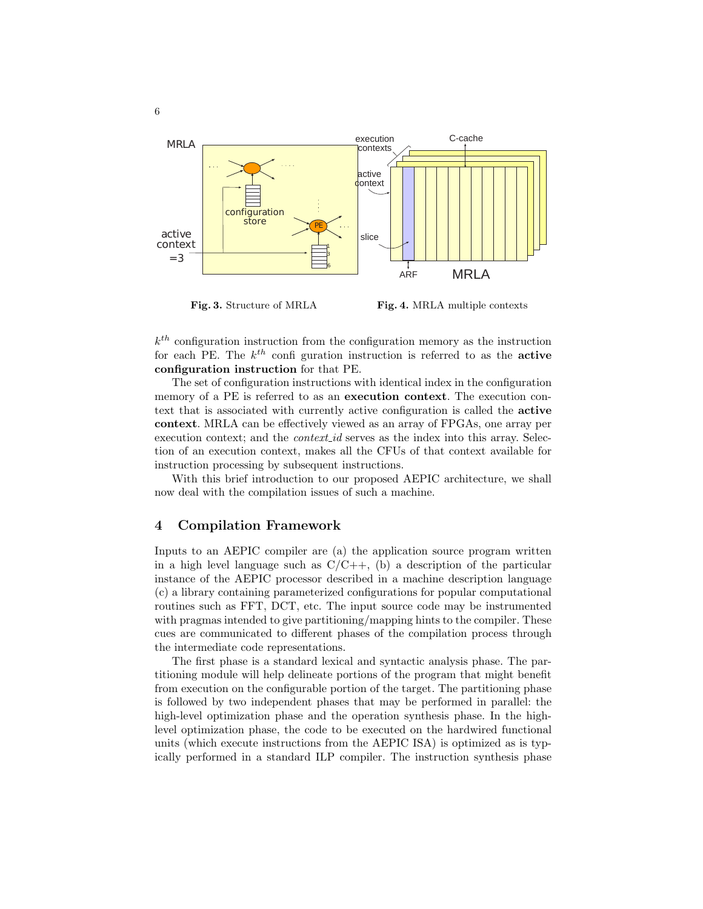

Fig. 3. Structure of MRLA Fig. 4. MRLA multiple contexts

 $k^{th}$  configuration instruction from the configuration memory as the instruction for each PE. The  $k^{th}$  confi guration instruction is referred to as the **active** configuration instruction for that PE.

The set of configuration instructions with identical index in the configuration memory of a PE is referred to as an execution context. The execution context that is associated with currently active configuration is called the active context. MRLA can be effectively viewed as an array of FPGAs, one array per execution context; and the *context id* serves as the index into this array. Selection of an execution context, makes all the CFUs of that context available for instruction processing by subsequent instructions.

With this brief introduction to our proposed AEPIC architecture, we shall now deal with the compilation issues of such a machine.

# 4 Compilation Framework

Inputs to an AEPIC compiler are (a) the application source program written in a high level language such as  $C/C++$ , (b) a description of the particular instance of the AEPIC processor described in a machine description language (c) a library containing parameterized configurations for popular computational routines such as FFT, DCT, etc. The input source code may be instrumented with pragmas intended to give partitioning/mapping hints to the compiler. These cues are communicated to different phases of the compilation process through the intermediate code representations.

The first phase is a standard lexical and syntactic analysis phase. The partitioning module will help delineate portions of the program that might benefit from execution on the configurable portion of the target. The partitioning phase is followed by two independent phases that may be performed in parallel: the high-level optimization phase and the operation synthesis phase. In the highlevel optimization phase, the code to be executed on the hardwired functional units (which execute instructions from the AEPIC ISA) is optimized as is typically performed in a standard ILP compiler. The instruction synthesis phase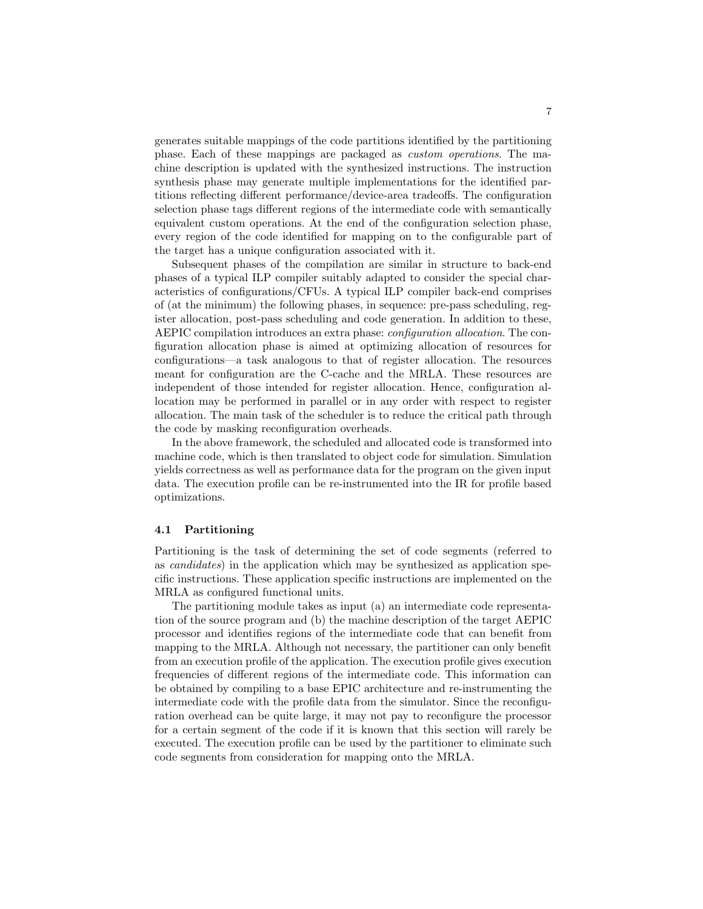generates suitable mappings of the code partitions identified by the partitioning phase. Each of these mappings are packaged as custom operations. The machine description is updated with the synthesized instructions. The instruction synthesis phase may generate multiple implementations for the identified partitions reflecting different performance/device-area tradeoffs. The configuration selection phase tags different regions of the intermediate code with semantically equivalent custom operations. At the end of the configuration selection phase, every region of the code identified for mapping on to the configurable part of the target has a unique configuration associated with it.

Subsequent phases of the compilation are similar in structure to back-end phases of a typical ILP compiler suitably adapted to consider the special characteristics of configurations/CFUs. A typical ILP compiler back-end comprises of (at the minimum) the following phases, in sequence: pre-pass scheduling, register allocation, post-pass scheduling and code generation. In addition to these, AEPIC compilation introduces an extra phase: configuration allocation. The configuration allocation phase is aimed at optimizing allocation of resources for configurations—a task analogous to that of register allocation. The resources meant for configuration are the C-cache and the MRLA. These resources are independent of those intended for register allocation. Hence, configuration allocation may be performed in parallel or in any order with respect to register allocation. The main task of the scheduler is to reduce the critical path through the code by masking reconfiguration overheads.

In the above framework, the scheduled and allocated code is transformed into machine code, which is then translated to object code for simulation. Simulation yields correctness as well as performance data for the program on the given input data. The execution profile can be re-instrumented into the IR for profile based optimizations.

### 4.1 Partitioning

Partitioning is the task of determining the set of code segments (referred to as candidates) in the application which may be synthesized as application specific instructions. These application specific instructions are implemented on the MRLA as configured functional units.

The partitioning module takes as input (a) an intermediate code representation of the source program and (b) the machine description of the target AEPIC processor and identifies regions of the intermediate code that can benefit from mapping to the MRLA. Although not necessary, the partitioner can only benefit from an execution profile of the application. The execution profile gives execution frequencies of different regions of the intermediate code. This information can be obtained by compiling to a base EPIC architecture and re-instrumenting the intermediate code with the profile data from the simulator. Since the reconfiguration overhead can be quite large, it may not pay to reconfigure the processor for a certain segment of the code if it is known that this section will rarely be executed. The execution profile can be used by the partitioner to eliminate such code segments from consideration for mapping onto the MRLA.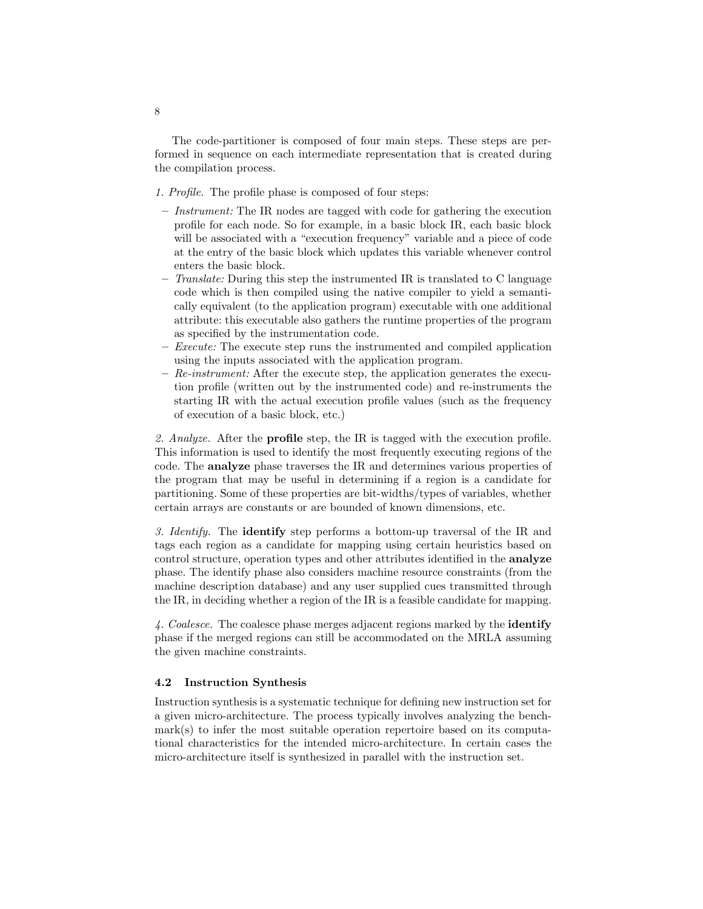The code-partitioner is composed of four main steps. These steps are performed in sequence on each intermediate representation that is created during the compilation process.

1. Profile. The profile phase is composed of four steps:

- Instrument: The IR nodes are tagged with code for gathering the execution profile for each node. So for example, in a basic block IR, each basic block will be associated with a "execution frequency" variable and a piece of code at the entry of the basic block which updates this variable whenever control enters the basic block.
- $-$  Translate: During this step the instrumented IR is translated to C language code which is then compiled using the native compiler to yield a semantically equivalent (to the application program) executable with one additional attribute: this executable also gathers the runtime properties of the program as specified by the instrumentation code.
- Execute: The execute step runs the instrumented and compiled application using the inputs associated with the application program.
- Re-instrument: After the execute step, the application generates the execution profile (written out by the instrumented code) and re-instruments the starting IR with the actual execution profile values (such as the frequency of execution of a basic block, etc.)

2. Analyze. After the **profile** step, the IR is tagged with the execution profile. This information is used to identify the most frequently executing regions of the code. The analyze phase traverses the IR and determines various properties of the program that may be useful in determining if a region is a candidate for partitioning. Some of these properties are bit-widths/types of variables, whether certain arrays are constants or are bounded of known dimensions, etc.

3. Identify. The **identify** step performs a bottom-up traversal of the IR and tags each region as a candidate for mapping using certain heuristics based on control structure, operation types and other attributes identified in the analyze phase. The identify phase also considers machine resource constraints (from the machine description database) and any user supplied cues transmitted through the IR, in deciding whether a region of the IR is a feasible candidate for mapping.

4. Coalesce. The coalesce phase merges adjacent regions marked by the identify phase if the merged regions can still be accommodated on the MRLA assuming the given machine constraints.

### 4.2 Instruction Synthesis

Instruction synthesis is a systematic technique for defining new instruction set for a given micro-architecture. The process typically involves analyzing the benchmark(s) to infer the most suitable operation repertoire based on its computational characteristics for the intended micro-architecture. In certain cases the micro-architecture itself is synthesized in parallel with the instruction set.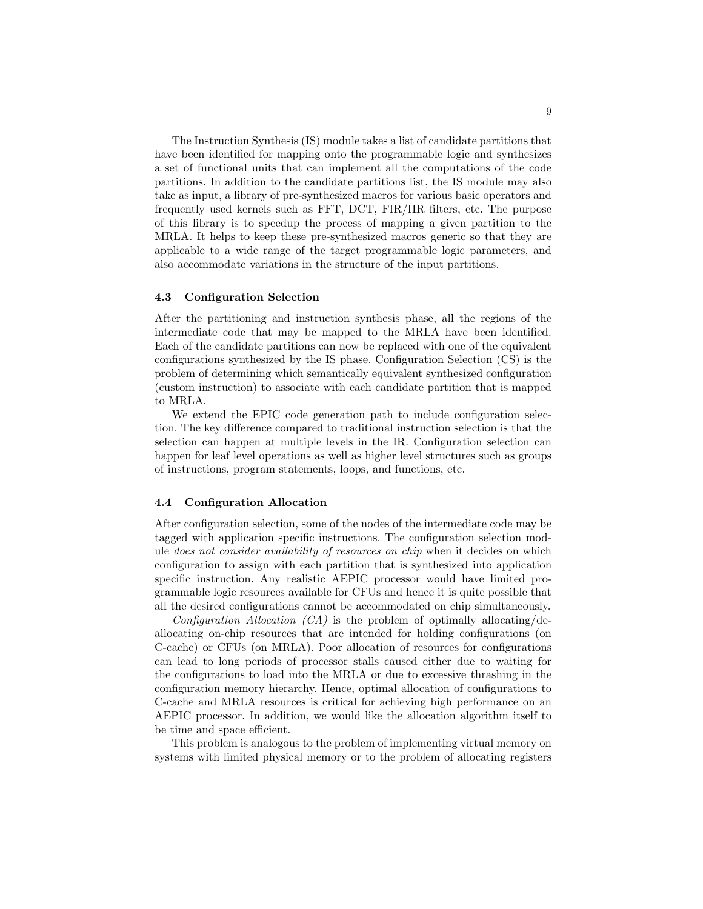The Instruction Synthesis (IS) module takes a list of candidate partitions that have been identified for mapping onto the programmable logic and synthesizes a set of functional units that can implement all the computations of the code partitions. In addition to the candidate partitions list, the IS module may also take as input, a library of pre-synthesized macros for various basic operators and frequently used kernels such as FFT, DCT, FIR/IIR filters, etc. The purpose of this library is to speedup the process of mapping a given partition to the MRLA. It helps to keep these pre-synthesized macros generic so that they are applicable to a wide range of the target programmable logic parameters, and also accommodate variations in the structure of the input partitions.

# 4.3 Configuration Selection

After the partitioning and instruction synthesis phase, all the regions of the intermediate code that may be mapped to the MRLA have been identified. Each of the candidate partitions can now be replaced with one of the equivalent configurations synthesized by the IS phase. Configuration Selection (CS) is the problem of determining which semantically equivalent synthesized configuration (custom instruction) to associate with each candidate partition that is mapped to MRLA.

We extend the EPIC code generation path to include configuration selection. The key difference compared to traditional instruction selection is that the selection can happen at multiple levels in the IR. Configuration selection can happen for leaf level operations as well as higher level structures such as groups of instructions, program statements, loops, and functions, etc.

#### 4.4 Configuration Allocation

After configuration selection, some of the nodes of the intermediate code may be tagged with application specific instructions. The configuration selection module does not consider availability of resources on chip when it decides on which configuration to assign with each partition that is synthesized into application specific instruction. Any realistic AEPIC processor would have limited programmable logic resources available for CFUs and hence it is quite possible that all the desired configurations cannot be accommodated on chip simultaneously.

Configuration Allocation  $(CA)$  is the problem of optimally allocating/deallocating on-chip resources that are intended for holding configurations (on C-cache) or CFUs (on MRLA). Poor allocation of resources for configurations can lead to long periods of processor stalls caused either due to waiting for the configurations to load into the MRLA or due to excessive thrashing in the configuration memory hierarchy. Hence, optimal allocation of configurations to C-cache and MRLA resources is critical for achieving high performance on an AEPIC processor. In addition, we would like the allocation algorithm itself to be time and space efficient.

This problem is analogous to the problem of implementing virtual memory on systems with limited physical memory or to the problem of allocating registers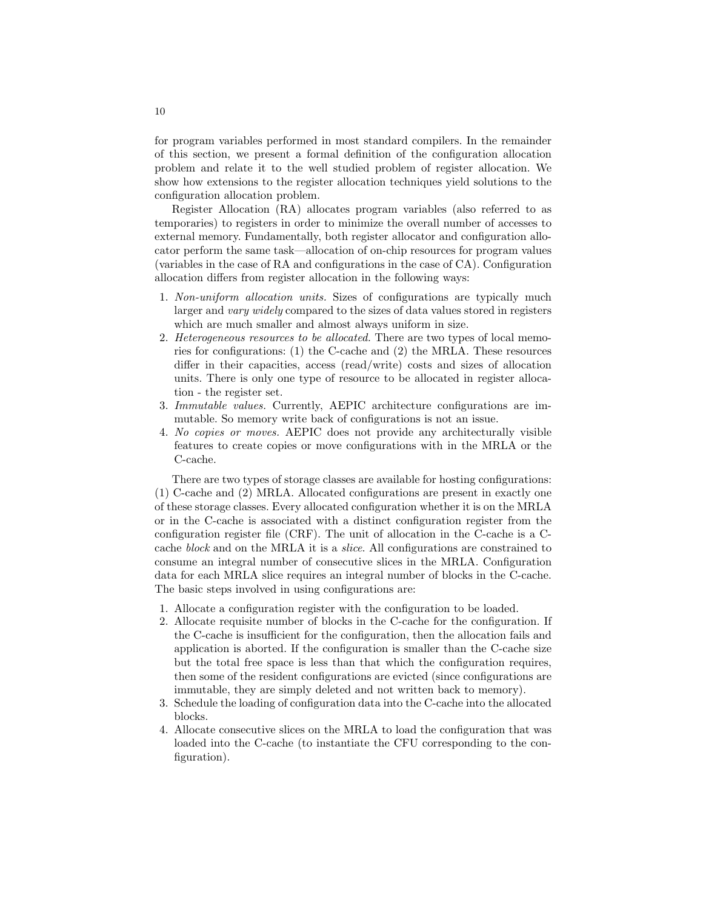for program variables performed in most standard compilers. In the remainder of this section, we present a formal definition of the configuration allocation problem and relate it to the well studied problem of register allocation. We show how extensions to the register allocation techniques yield solutions to the configuration allocation problem.

Register Allocation (RA) allocates program variables (also referred to as temporaries) to registers in order to minimize the overall number of accesses to external memory. Fundamentally, both register allocator and configuration allocator perform the same task—allocation of on-chip resources for program values (variables in the case of RA and configurations in the case of CA). Configuration allocation differs from register allocation in the following ways:

- 1. Non-uniform allocation units. Sizes of configurations are typically much larger and vary widely compared to the sizes of data values stored in registers which are much smaller and almost always uniform in size.
- 2. Heterogeneous resources to be allocated. There are two types of local memories for configurations: (1) the C-cache and (2) the MRLA. These resources differ in their capacities, access (read/write) costs and sizes of allocation units. There is only one type of resource to be allocated in register allocation - the register set.
- 3. Immutable values. Currently, AEPIC architecture configurations are immutable. So memory write back of configurations is not an issue.
- 4. No copies or moves. AEPIC does not provide any architecturally visible features to create copies or move configurations with in the MRLA or the C-cache.

There are two types of storage classes are available for hosting configurations: (1) C-cache and (2) MRLA. Allocated configurations are present in exactly one of these storage classes. Every allocated configuration whether it is on the MRLA or in the C-cache is associated with a distinct configuration register from the configuration register file (CRF). The unit of allocation in the C-cache is a Ccache block and on the MRLA it is a slice. All configurations are constrained to consume an integral number of consecutive slices in the MRLA. Configuration data for each MRLA slice requires an integral number of blocks in the C-cache. The basic steps involved in using configurations are:

- 1. Allocate a configuration register with the configuration to be loaded.
- 2. Allocate requisite number of blocks in the C-cache for the configuration. If the C-cache is insufficient for the configuration, then the allocation fails and application is aborted. If the configuration is smaller than the C-cache size but the total free space is less than that which the configuration requires, then some of the resident configurations are evicted (since configurations are immutable, they are simply deleted and not written back to memory).
- 3. Schedule the loading of configuration data into the C-cache into the allocated blocks.
- 4. Allocate consecutive slices on the MRLA to load the configuration that was loaded into the C-cache (to instantiate the CFU corresponding to the configuration).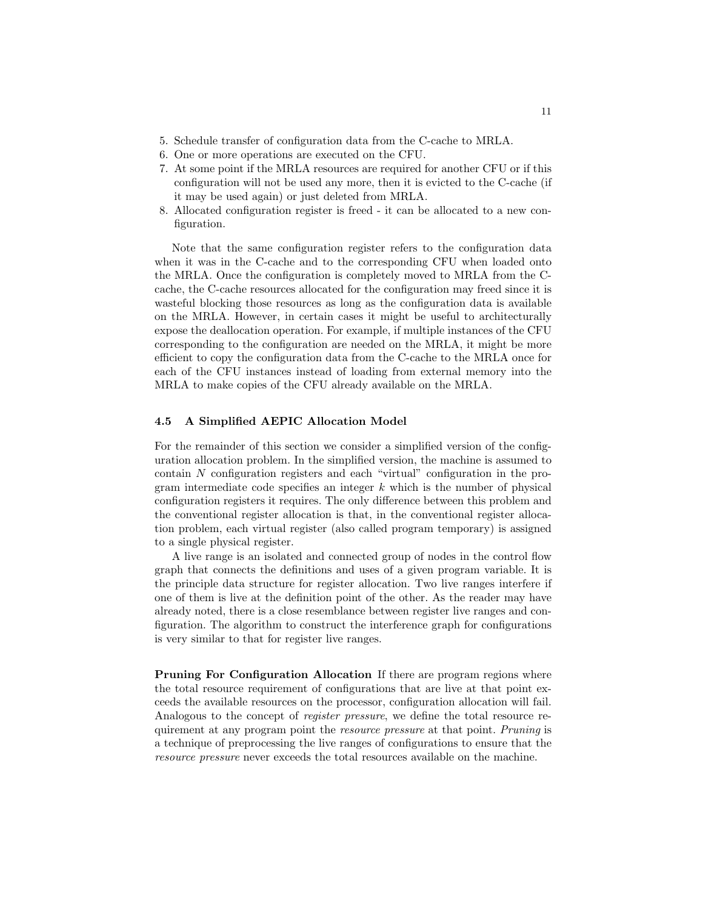- 5. Schedule transfer of configuration data from the C-cache to MRLA.
- 6. One or more operations are executed on the CFU.
- 7. At some point if the MRLA resources are required for another CFU or if this configuration will not be used any more, then it is evicted to the C-cache (if it may be used again) or just deleted from MRLA.
- 8. Allocated configuration register is freed it can be allocated to a new configuration.

Note that the same configuration register refers to the configuration data when it was in the C-cache and to the corresponding CFU when loaded onto the MRLA. Once the configuration is completely moved to MRLA from the Ccache, the C-cache resources allocated for the configuration may freed since it is wasteful blocking those resources as long as the configuration data is available on the MRLA. However, in certain cases it might be useful to architecturally expose the deallocation operation. For example, if multiple instances of the CFU corresponding to the configuration are needed on the MRLA, it might be more efficient to copy the configuration data from the C-cache to the MRLA once for each of the CFU instances instead of loading from external memory into the MRLA to make copies of the CFU already available on the MRLA.

# 4.5 A Simplified AEPIC Allocation Model

For the remainder of this section we consider a simplified version of the configuration allocation problem. In the simplified version, the machine is assumed to contain N configuration registers and each "virtual" configuration in the program intermediate code specifies an integer  $k$  which is the number of physical configuration registers it requires. The only difference between this problem and the conventional register allocation is that, in the conventional register allocation problem, each virtual register (also called program temporary) is assigned to a single physical register.

A live range is an isolated and connected group of nodes in the control flow graph that connects the definitions and uses of a given program variable. It is the principle data structure for register allocation. Two live ranges interfere if one of them is live at the definition point of the other. As the reader may have already noted, there is a close resemblance between register live ranges and configuration. The algorithm to construct the interference graph for configurations is very similar to that for register live ranges.

Pruning For Configuration Allocation If there are program regions where the total resource requirement of configurations that are live at that point exceeds the available resources on the processor, configuration allocation will fail. Analogous to the concept of register pressure, we define the total resource requirement at any program point the resource pressure at that point. Pruning is a technique of preprocessing the live ranges of configurations to ensure that the resource pressure never exceeds the total resources available on the machine.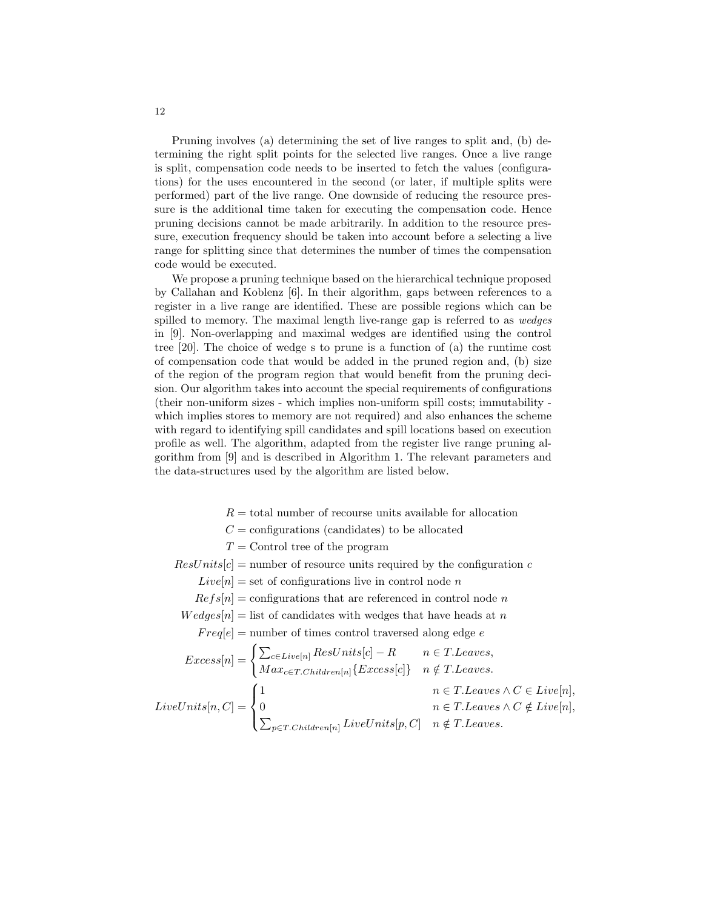Pruning involves (a) determining the set of live ranges to split and, (b) determining the right split points for the selected live ranges. Once a live range is split, compensation code needs to be inserted to fetch the values (configurations) for the uses encountered in the second (or later, if multiple splits were performed) part of the live range. One downside of reducing the resource pressure is the additional time taken for executing the compensation code. Hence pruning decisions cannot be made arbitrarily. In addition to the resource pressure, execution frequency should be taken into account before a selecting a live range for splitting since that determines the number of times the compensation code would be executed.

We propose a pruning technique based on the hierarchical technique proposed by Callahan and Koblenz [6]. In their algorithm, gaps between references to a register in a live range are identified. These are possible regions which can be spilled to memory. The maximal length live-range gap is referred to as *wedges* in [9]. Non-overlapping and maximal wedges are identified using the control tree [20]. The choice of wedge s to prune is a function of (a) the runtime cost of compensation code that would be added in the pruned region and, (b) size of the region of the program region that would benefit from the pruning decision. Our algorithm takes into account the special requirements of configurations (their non-uniform sizes - which implies non-uniform spill costs; immutability which implies stores to memory are not required) and also enhances the scheme with regard to identifying spill candidates and spill locations based on execution profile as well. The algorithm, adapted from the register live range pruning algorithm from [9] and is described in Algorithm 1. The relevant parameters and the data-structures used by the algorithm are listed below.

 $R =$  total number of recourse units available for allocation

 $C =$  configurations (candidates) to be allocated

 $T =$ Control tree of the program

 $ResUnits[c] =$  number of resource units required by the configuration c

 $Live[n] = set$  of configurations live in control node n

 $Refs[n] =$  configurations that are referenced in control node n

 $Wedges[n] =$  list of candidates with wedges that have heads at n

 $Freq[e] = number of times control traversed along edge e$ 

$$
Excess[n] = \begin{cases} \sum_{c \in Live[n]} ResUnits[c] - R & n \in T. Leaves, \\ Max_{c \in T. Children[n]} \{Excess[c]\} & n \notin T. Leaves. \end{cases}
$$
  
\n
$$
Live Units[n, C] = \begin{cases} 1 & n \in T. Leaves \land C \in Live[n], \\ 0 & n \in T. Leaves \land C \notin Live[n], \\ \sum_{p \in T. Children[n]} Live Units[p, C] & n \notin T. Leaves. \end{cases}
$$

12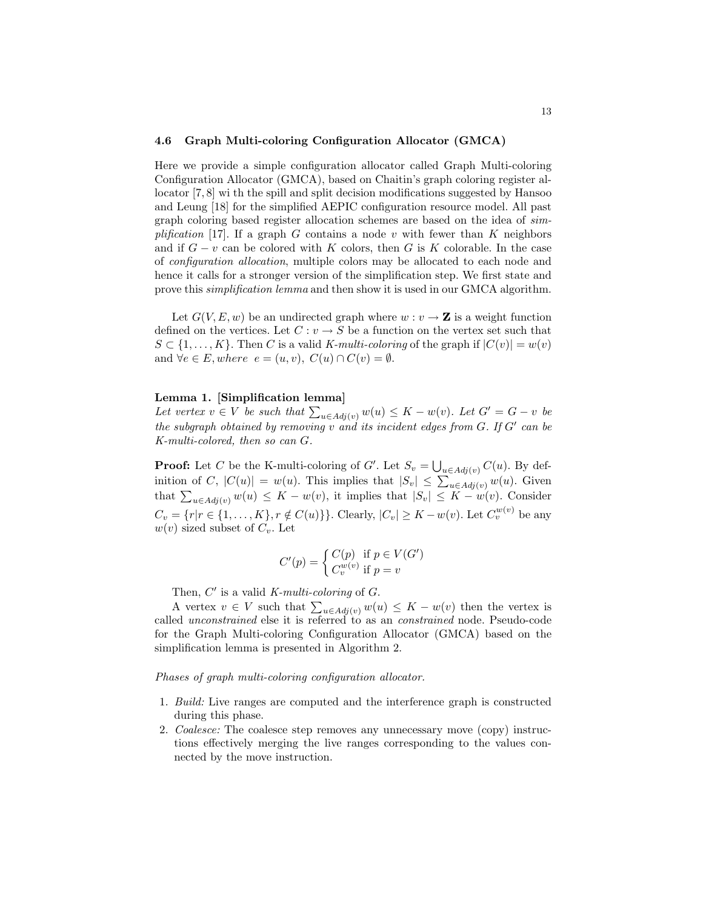# 4.6 Graph Multi-coloring Configuration Allocator (GMCA)

Here we provide a simple configuration allocator called Graph Multi-coloring Configuration Allocator (GMCA), based on Chaitin's graph coloring register allocator [7, 8] wi th the spill and split decision modifications suggested by Hansoo and Leung [18] for the simplified AEPIC configuration resource model. All past graph coloring based register allocation schemes are based on the idea of simplification [17]. If a graph G contains a node v with fewer than K neighbors and if  $G - v$  can be colored with K colors, then G is K colorable. In the case of configuration allocation, multiple colors may be allocated to each node and hence it calls for a stronger version of the simplification step. We first state and prove this *simplification lemma* and then show it is used in our GMCA algorithm.

Let  $G(V, E, w)$  be an undirected graph where  $w : v \to \mathbf{Z}$  is a weight function defined on the vertices. Let  $C: v \to S$  be a function on the vertex set such that  $S \subset \{1, \ldots, K\}$ . Then C is a valid K-multi-coloring of the graph if  $|C(v)| = w(v)$ and  $\forall e \in E$ , where  $e = (u, v), C(u) \cap C(v) = \emptyset$ .

### Lemma 1. [Simplification lemma]

Let vertex  $v \in V$  be such that  $\sum_{u \in Adj(v)} w(u) \leq K - w(v)$ . Let  $G' = G - v$  be the subgraph obtained by removing  $v$  and its incident edges from  $G$ . If  $G'$  can be K-multi-colored, then so can G.

**Proof:** Let C be the K-multi-coloring of G'. Let  $S_v = \bigcup_{u \in Adj(v)} C(u)$ . By definition of C,  $|C(u)| = w(u)$ . This implies that  $|S_v| \le \sum_{u \in Adj(v)} w(u)$ . Given that  $\sum_{u \in Adj(v)} w(u) \leq K - w(v)$ , it implies that  $|S_v| \leq K - w(v)$ . Consider  $C_v = \{r | r \in \{1, ..., K\}, r \notin C(u)\}\}\.$  Clearly,  $|C_v| \geq K - w(v)$ . Let  $C_v^{w(v)}$  be any  $w(v)$  sized subset of  $C_v$ . Let

$$
C'(p) = \begin{cases} C(p) & \text{if } p \in V(G')\\ C_v^{w(v)} & \text{if } p = v \end{cases}
$$

Then,  $C'$  is a valid K-multi-coloring of  $G$ .

A vertex  $v \in V$  such that  $\sum_{u \in Adj(v)} w(u) \leq K - w(v)$  then the vertex is called unconstrained else it is referred to as an constrained node. Pseudo-code for the Graph Multi-coloring Configuration Allocator (GMCA) based on the simplification lemma is presented in Algorithm 2.

# Phases of graph multi-coloring configuration allocator.

- 1. Build: Live ranges are computed and the interference graph is constructed during this phase.
- 2. Coalesce: The coalesce step removes any unnecessary move (copy) instructions effectively merging the live ranges corresponding to the values connected by the move instruction.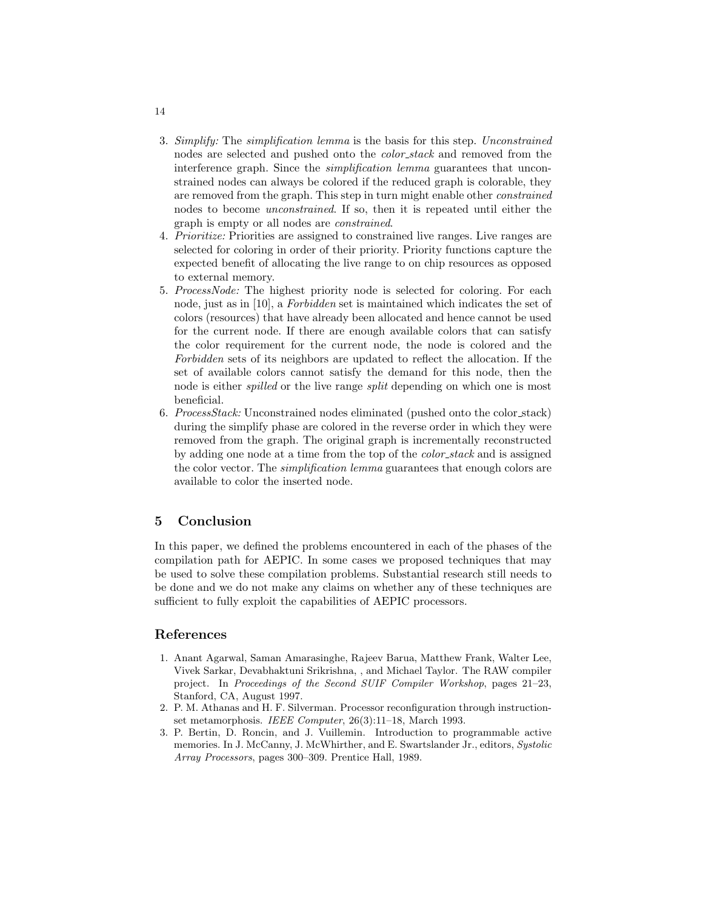- 3. Simplify: The simplification lemma is the basis for this step. Unconstrained nodes are selected and pushed onto the *color\_stack* and removed from the interference graph. Since the *simplification lemma* guarantees that unconstrained nodes can always be colored if the reduced graph is colorable, they are removed from the graph. This step in turn might enable other constrained nodes to become unconstrained. If so, then it is repeated until either the graph is empty or all nodes are constrained.
- 4. Prioritize: Priorities are assigned to constrained live ranges. Live ranges are selected for coloring in order of their priority. Priority functions capture the expected benefit of allocating the live range to on chip resources as opposed to external memory.
- 5. ProcessNode: The highest priority node is selected for coloring. For each node, just as in [10], a Forbidden set is maintained which indicates the set of colors (resources) that have already been allocated and hence cannot be used for the current node. If there are enough available colors that can satisfy the color requirement for the current node, the node is colored and the Forbidden sets of its neighbors are updated to reflect the allocation. If the set of available colors cannot satisfy the demand for this node, then the node is either spilled or the live range split depending on which one is most beneficial.
- 6. ProcessStack: Unconstrained nodes eliminated (pushed onto the color stack) during the simplify phase are colored in the reverse order in which they were removed from the graph. The original graph is incrementally reconstructed by adding one node at a time from the top of the color stack and is assigned the color vector. The simplification lemma guarantees that enough colors are available to color the inserted node.

# 5 Conclusion

In this paper, we defined the problems encountered in each of the phases of the compilation path for AEPIC. In some cases we proposed techniques that may be used to solve these compilation problems. Substantial research still needs to be done and we do not make any claims on whether any of these techniques are sufficient to fully exploit the capabilities of AEPIC processors.

# References

- 1. Anant Agarwal, Saman Amarasinghe, Rajeev Barua, Matthew Frank, Walter Lee, Vivek Sarkar, Devabhaktuni Srikrishna, , and Michael Taylor. The RAW compiler project. In Proceedings of the Second SUIF Compiler Workshop, pages 21–23, Stanford, CA, August 1997.
- 2. P. M. Athanas and H. F. Silverman. Processor reconfiguration through instructionset metamorphosis. IEEE Computer, 26(3):11-18, March 1993.
- 3. P. Bertin, D. Roncin, and J. Vuillemin. Introduction to programmable active memories. In J. McCanny, J. McWhirther, and E. Swartslander Jr., editors, Systolic Array Processors, pages 300–309. Prentice Hall, 1989.

14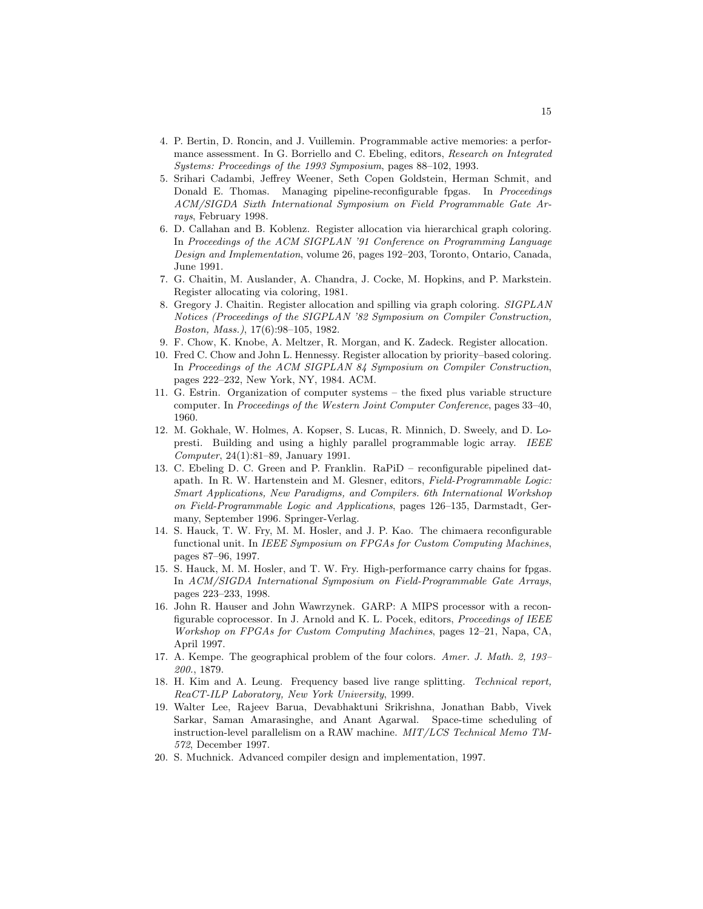- 4. P. Bertin, D. Roncin, and J. Vuillemin. Programmable active memories: a performance assessment. In G. Borriello and C. Ebeling, editors, Research on Integrated Systems: Proceedings of the 1993 Symposium, pages 88–102, 1993.
- 5. Srihari Cadambi, Jeffrey Weener, Seth Copen Goldstein, Herman Schmit, and Donald E. Thomas. Managing pipeline-reconfigurable fpgas. In *Proceedings* ACM/SIGDA Sixth International Symposium on Field Programmable Gate Arrays, February 1998.
- 6. D. Callahan and B. Koblenz. Register allocation via hierarchical graph coloring. In Proceedings of the ACM SIGPLAN '91 Conference on Programming Language Design and Implementation, volume 26, pages 192–203, Toronto, Ontario, Canada, June 1991.
- 7. G. Chaitin, M. Auslander, A. Chandra, J. Cocke, M. Hopkins, and P. Markstein. Register allocating via coloring, 1981.
- 8. Gregory J. Chaitin. Register allocation and spilling via graph coloring. SIGPLAN Notices (Proceedings of the SIGPLAN '82 Symposium on Compiler Construction, Boston, Mass.), 17(6):98–105, 1982.
- 9. F. Chow, K. Knobe, A. Meltzer, R. Morgan, and K. Zadeck. Register allocation.
- 10. Fred C. Chow and John L. Hennessy. Register allocation by priority–based coloring. In Proceedings of the ACM SIGPLAN 84 Symposium on Compiler Construction, pages 222–232, New York, NY, 1984. ACM.
- 11. G. Estrin. Organization of computer systems the fixed plus variable structure computer. In Proceedings of the Western Joint Computer Conference, pages 33–40, 1960.
- 12. M. Gokhale, W. Holmes, A. Kopser, S. Lucas, R. Minnich, D. Sweely, and D. Lopresti. Building and using a highly parallel programmable logic array. IEEE Computer, 24(1):81–89, January 1991.
- 13. C. Ebeling D. C. Green and P. Franklin. RaPiD reconfigurable pipelined datapath. In R. W. Hartenstein and M. Glesner, editors, Field-Programmable Logic: Smart Applications, New Paradigms, and Compilers. 6th International Workshop on Field-Programmable Logic and Applications, pages 126–135, Darmstadt, Germany, September 1996. Springer-Verlag.
- 14. S. Hauck, T. W. Fry, M. M. Hosler, and J. P. Kao. The chimaera reconfigurable functional unit. In IEEE Symposium on FPGAs for Custom Computing Machines, pages 87–96, 1997.
- 15. S. Hauck, M. M. Hosler, and T. W. Fry. High-performance carry chains for fpgas. In ACM/SIGDA International Symposium on Field-Programmable Gate Arrays, pages 223–233, 1998.
- 16. John R. Hauser and John Wawrzynek. GARP: A MIPS processor with a reconfigurable coprocessor. In J. Arnold and K. L. Pocek, editors, Proceedings of IEEE Workshop on FPGAs for Custom Computing Machines, pages 12–21, Napa, CA, April 1997.
- 17. A. Kempe. The geographical problem of the four colors. Amer. J. Math. 2, 193– 200., 1879.
- 18. H. Kim and A. Leung. Frequency based live range splitting. Technical report, ReaCT-ILP Laboratory, New York University, 1999.
- 19. Walter Lee, Rajeev Barua, Devabhaktuni Srikrishna, Jonathan Babb, Vivek Sarkar, Saman Amarasinghe, and Anant Agarwal. Space-time scheduling of instruction-level parallelism on a RAW machine. MIT/LCS Technical Memo TM-572, December 1997.
- 20. S. Muchnick. Advanced compiler design and implementation, 1997.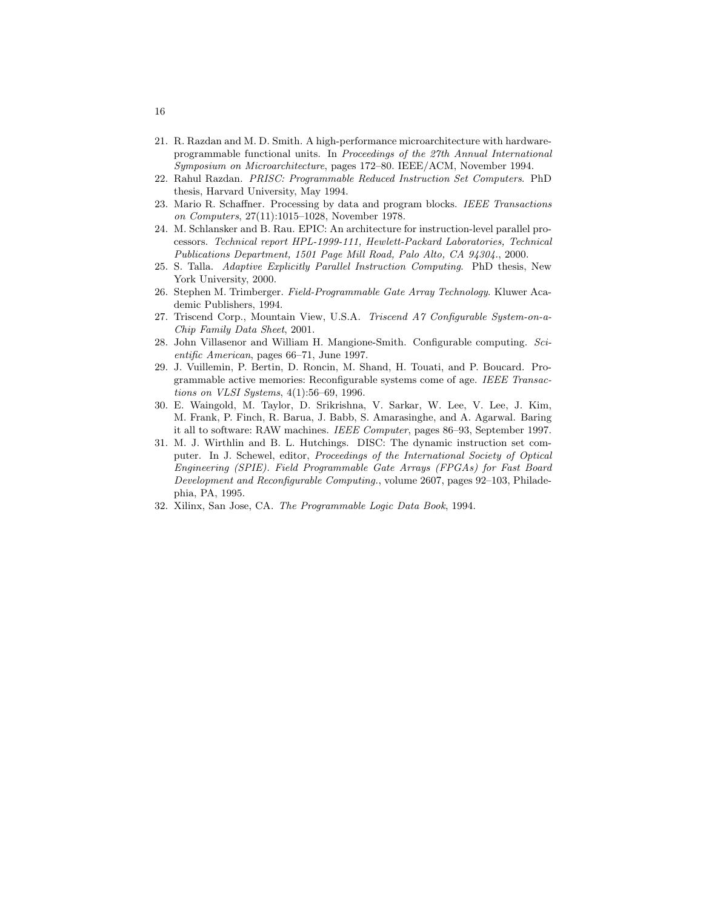- 21. R. Razdan and M. D. Smith. A high-performance microarchitecture with hardwareprogrammable functional units. In Proceedings of the 27th Annual International Symposium on Microarchitecture, pages 172–80. IEEE/ACM, November 1994.
- 22. Rahul Razdan. PRISC: Programmable Reduced Instruction Set Computers. PhD thesis, Harvard University, May 1994.
- 23. Mario R. Schaffner. Processing by data and program blocks. IEEE Transactions on Computers, 27(11):1015–1028, November 1978.
- 24. M. Schlansker and B. Rau. EPIC: An architecture for instruction-level parallel processors. Technical report HPL-1999-111, Hewlett-Packard Laboratories, Technical Publications Department, 1501 Page Mill Road, Palo Alto, CA 94304., 2000.
- 25. S. Talla. Adaptive Explicitly Parallel Instruction Computing. PhD thesis, New York University, 2000.
- 26. Stephen M. Trimberger. Field-Programmable Gate Array Technology. Kluwer Academic Publishers, 1994.
- 27. Triscend Corp., Mountain View, U.S.A. Triscend A7 Configurable System-on-a-Chip Family Data Sheet, 2001.
- 28. John Villasenor and William H. Mangione-Smith. Configurable computing. Scientific American, pages 66–71, June 1997.
- 29. J. Vuillemin, P. Bertin, D. Roncin, M. Shand, H. Touati, and P. Boucard. Programmable active memories: Reconfigurable systems come of age. IEEE Transactions on VLSI Systems, 4(1):56–69, 1996.
- 30. E. Waingold, M. Taylor, D. Srikrishna, V. Sarkar, W. Lee, V. Lee, J. Kim, M. Frank, P. Finch, R. Barua, J. Babb, S. Amarasinghe, and A. Agarwal. Baring it all to software: RAW machines. IEEE Computer, pages 86–93, September 1997.
- 31. M. J. Wirthlin and B. L. Hutchings. DISC: The dynamic instruction set computer. In J. Schewel, editor, Proceedings of the International Society of Optical Engineering (SPIE). Field Programmable Gate Arrays (FPGAs) for Fast Board Development and Reconfigurable Computing., volume 2607, pages 92–103, Philadephia, PA, 1995.
- 32. Xilinx, San Jose, CA. The Programmable Logic Data Book, 1994.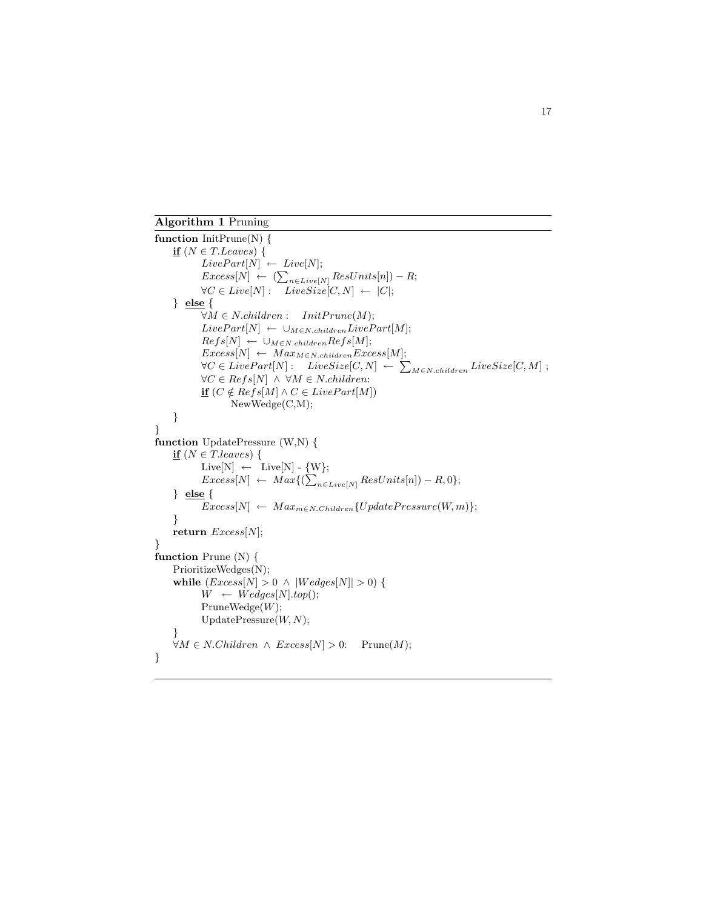```
Algorithm 1 Pruning
```

```
function InitPrune(N) {
    \underline{\text{if}} (N \in T \text{.} \text{Leaves}) {
            \label{eq:blue-1} LivePart[N] \ \leftarrow \ Live[N];Excess[N] \leftarrow (\sum_{n \in Live[N]} Res Units[n]) - R;\forall C \in Live[N]: \quad LiveSize[C, N] \leftarrow |C|;} else {
            \forall M \in N.children : InitPrune(M);LivePart[N] \leftarrow \cup_{M \in N. children} LivePart[M];Refs[N] \leftarrow \cup_{M \in N. children} Refs[M];Excess[N] \leftarrow Max_{M \in N. children} Excess[M];\forall C \in LivePart[N]: \quad LiveSize[C, N] \leftarrow \sum_{M \in N. children} LiveSize[C, M];∀C ∈ Refs[N] ∧ ∀M ∈ N.children:\underline{\textbf{if}}~(C \notin Refs[M]\wedge C \in LivePart[M])NewWedge(C,M);
    }
}
function UpdatePressure (W,N) {
    \mathbf{if} (N \in T \mathit{.leaves}) {
            Live[N] \leftarrow \text{Live}[N] - \{W\};Excess[N] \leftarrow Max\{(\sum_{n \in Live[N]} Res Units[n]) - R, 0\};} else {
            Excess[N] \leftarrow Max_{m \in N. Children} \{UpdatePressure(W, m)\};}
    return Excess[N];}
function Prune (N) {
    PrioritizeWedges(N);
    while (Excess[N] > 0 \land |Wedges[N]| > 0) {
            W \leftarrow Wedges[N].top();PruneWedge(W);UpdatePressure(W, N);}
    ∀M ∈ N. Children ∧ Excess[N] > 0: Prune(M);
}
```